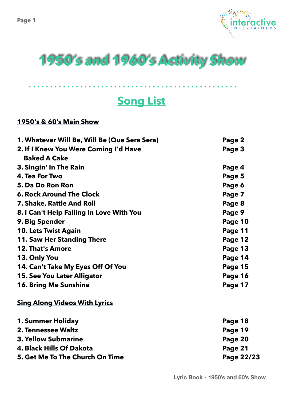



# **Song List**

**1950's & 60's Main Show**

| 1. Whatever Will Be, Will Be (Que Sera Sera)<br>2. If I Knew You Were Coming I'd Have<br><b>Baked A Cake</b>                                                                                   | Page 2<br>Page 3                                            |                                                                                         |                               |                                      |         |
|------------------------------------------------------------------------------------------------------------------------------------------------------------------------------------------------|-------------------------------------------------------------|-----------------------------------------------------------------------------------------|-------------------------------|--------------------------------------|---------|
|                                                                                                                                                                                                |                                                             | 3. Singin' In The Rain                                                                  | Page 4                        |                                      |         |
|                                                                                                                                                                                                |                                                             | 4. Tea For Two                                                                          | Page 5                        |                                      |         |
| 5. Da Do Ron Ron                                                                                                                                                                               | Page 6                                                      |                                                                                         |                               |                                      |         |
| <b>6. Rock Around The Clock</b><br>7. Shake, Rattle And Roll<br>8. I Can't Help Falling In Love With You<br>9. Big Spender<br><b>10. Lets Twist Again</b><br><b>11. Saw Her Standing There</b> | Page 7<br>Page 8<br>Page 9<br>Page 10<br>Page 11<br>Page 12 |                                                                                         |                               |                                      |         |
|                                                                                                                                                                                                |                                                             | <b>12. That's Amore</b>                                                                 | Page 13                       |                                      |         |
|                                                                                                                                                                                                |                                                             | 13. Only You<br>14. Can't Take My Eyes Off Of You<br><b>15. See You Later Alligator</b> | Page 14<br>Page 15<br>Page 16 |                                      |         |
|                                                                                                                                                                                                |                                                             |                                                                                         |                               | <b>16. Bring Me Sunshine</b>         | Page 17 |
|                                                                                                                                                                                                |                                                             |                                                                                         |                               | <b>Sing Along Videos With Lyrics</b> |         |
|                                                                                                                                                                                                |                                                             | <b>1. Summer Holiday</b>                                                                | Page 18                       |                                      |         |
| 2. Tennessee Waltz                                                                                                                                                                             | Page 19                                                     |                                                                                         |                               |                                      |         |
| <b>3. Yellow Submarine</b>                                                                                                                                                                     | Page 20                                                     |                                                                                         |                               |                                      |         |
| <b>4. Black Hills Of Dakota</b>                                                                                                                                                                | Page 21                                                     |                                                                                         |                               |                                      |         |
| 5. Get Me To The Church On Time                                                                                                                                                                | Page 22/23                                                  |                                                                                         |                               |                                      |         |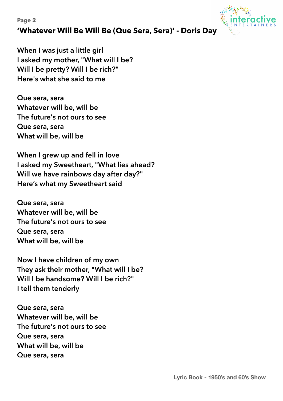## **Page 2 'Whatever Will Be Will Be (Que Sera, Sera)' - Doris Day**



**When I was just a little girl I asked my mother, "What will I be? Will I be pretty? Will I be rich?" Here's what she said to me** 

**Que sera, sera Whatever will be, will be The future's not ours to see Que sera, sera What will be, will be** 

**When I grew up and fell in love I asked my Sweetheart, "What lies ahead? Will we have rainbows day after day?" Here's what my Sweetheart said** 

**Que sera, sera Whatever will be, will be The future's not ours to see Que sera, sera What will be, will be** 

**Now I have children of my own They ask their mother, "What will I be? Will I be handsome? Will I be rich?" I tell them tenderly** 

**Que sera, sera Whatever will be, will be The future's not ours to see Que sera, sera What will be, will be Que sera, sera**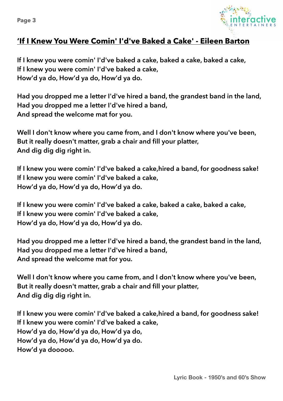

#### **'If I Knew You Were Comin' I'd've Baked a Cake' - Eileen Barton**

**If I knew you were comin' I'd've baked a cake, baked a cake, baked a cake, If I knew you were comin' I'd've baked a cake, How'd ya do, How'd ya do, How'd ya do.** 

**Had you dropped me a letter I'd've hired a band, the grandest band in the land, Had you dropped me a letter I'd've hired a band, And spread the welcome mat for you.** 

**Well I don't know where you came from, and I don't know where you've been, But it really doesn't matter, grab a chair and fill your platter, And dig dig dig right in.** 

**If I knew you were comin' I'd've baked a cake,hired a band, for goodness sake! If I knew you were comin' I'd've baked a cake, How'd ya do, How'd ya do, How'd ya do.** 

**If I knew you were comin' I'd've baked a cake, baked a cake, baked a cake, If I knew you were comin' I'd've baked a cake, How'd ya do, How'd ya do, How'd ya do.** 

**Had you dropped me a letter I'd've hired a band, the grandest band in the land, Had you dropped me a letter I'd've hired a band, And spread the welcome mat for you.** 

**Well I don't know where you came from, and I don't know where you've been, But it really doesn't matter, grab a chair and fill your platter, And dig dig dig right in.** 

**If I knew you were comin' I'd've baked a cake,hired a band, for goodness sake! If I knew you were comin' I'd've baked a cake, How'd ya do, How'd ya do, How'd ya do, How'd ya do, How'd ya do, How'd ya do. How'd ya dooooo.**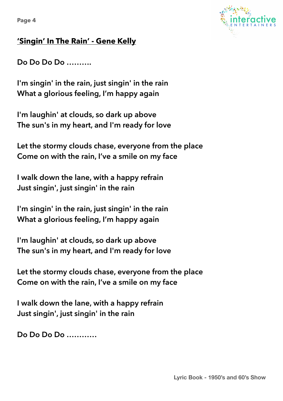

## **'Singin' In The Rain' - Gene Kelly**

**Do Do Do Do ……….** 

**I'm singin' in the rain, just singin' in the rain What a glorious feeling, I'm happy again** 

**I'm laughin' at clouds, so dark up above The sun's in my heart, and I'm ready for love** 

**Let the stormy clouds chase, everyone from the place Come on with the rain, I've a smile on my face** 

**I walk down the lane, with a happy refrain Just singin', just singin' in the rain** 

**I'm singin' in the rain, just singin' in the rain What a glorious feeling, I'm happy again** 

**I'm laughin' at clouds, so dark up above The sun's in my heart, and I'm ready for love** 

**Let the stormy clouds chase, everyone from the place Come on with the rain, I've a smile on my face** 

**I walk down the lane, with a happy refrain Just singin', just singin' in the rain** 

**Do Do Do Do …………**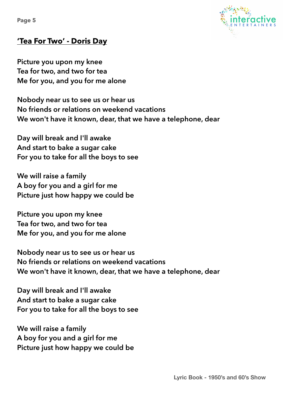

#### **'Tea For Two' - Doris Day**

**Picture you upon my knee Tea for two, and two for tea Me for you, and you for me alone** 

**Nobody near us to see us or hear us No friends or relations on weekend vacations We won't have it known, dear, that we have a telephone, dear** 

**Day will break and I'll awake And start to bake a sugar cake For you to take for all the boys to see** 

**We will raise a family A boy for you and a girl for me Picture just how happy we could be** 

**Picture you upon my knee Tea for two, and two for tea Me for you, and you for me alone** 

**Nobody near us to see us or hear us No friends or relations on weekend vacations We won't have it known, dear, that we have a telephone, dear** 

**Day will break and I'll awake And start to bake a sugar cake For you to take for all the boys to see** 

**We will raise a family A boy for you and a girl for me Picture just how happy we could be**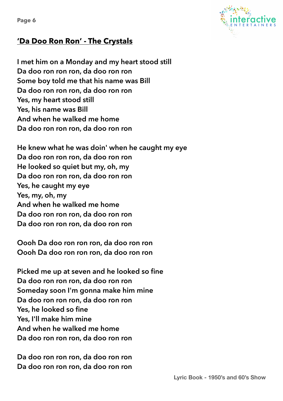

#### **'Da Doo Ron Ron' - The Crystals**

**I met him on a Monday and my heart stood still Da doo ron ron ron, da doo ron ron Some boy told me that his name was Bill Da doo ron ron ron, da doo ron ron Yes, my heart stood still Yes, his name was Bill And when he walked me home Da doo ron ron ron, da doo ron ron** 

**He knew what he was doin' when he caught my eye Da doo ron ron ron, da doo ron ron He looked so quiet but my, oh, my Da doo ron ron ron, da doo ron ron Yes, he caught my eye Yes, my, oh, my And when he walked me home Da doo ron ron ron, da doo ron ron Da doo ron ron ron, da doo ron ron** 

**Oooh Da doo ron ron ron, da doo ron ron Oooh Da doo ron ron ron, da doo ron ron** 

**Picked me up at seven and he looked so fine Da doo ron ron ron, da doo ron ron Someday soon I'm gonna make him mine Da doo ron ron ron, da doo ron ron Yes, he looked so fine Yes, I'll make him mine And when he walked me home Da doo ron ron ron, da doo ron ron** 

**Da doo ron ron ron, da doo ron ron Da doo ron ron ron, da doo ron ron**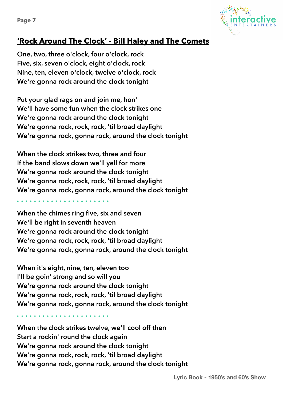

## **'Rock Around The Clock' - Bill Haley and The Comets**

**One, two, three o'clock, four o'clock, rock Five, six, seven o'clock, eight o'clock, rock Nine, ten, eleven o'clock, twelve o'clock, rock We're gonna rock around the clock tonight** 

**Put your glad rags on and join me, hon' We'll have some fun when the clock strikes one We're gonna rock around the clock tonight We're gonna rock, rock, rock, 'til broad daylight We're gonna rock, gonna rock, around the clock tonight** 

**When the clock strikes two, three and four If the band slows down we'll yell for more We're gonna rock around the clock tonight We're gonna rock, rock, rock, 'til broad daylight We're gonna rock, gonna rock, around the clock tonight** 

**When the chimes ring five, six and seven We'll be right in seventh heaven We're gonna rock around the clock tonight We're gonna rock, rock, rock, 'til broad daylight We're gonna rock, gonna rock, around the clock tonight** 

**When it's eight, nine, ten, eleven too I'll be goin' strong and so will you We're gonna rock around the clock tonight We're gonna rock, rock, rock, 'til broad daylight We're gonna rock, gonna rock, around the clock tonight**

**When the clock strikes twelve, we'll cool off then Start a rockin' round the clock again We're gonna rock around the clock tonight We're gonna rock, rock, rock, 'til broad daylight We're gonna rock, gonna rock, around the clock tonight**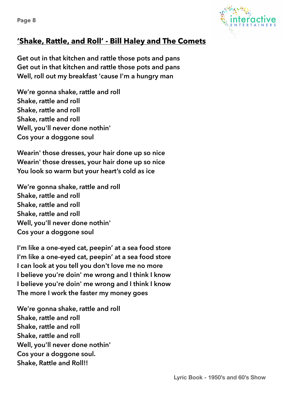

## **'Shake, Rattle, and Roll' - Bill Haley and The Comets**

**Get out in that kitchen and rattle those pots and pans Get out in that kitchen and rattle those pots and pans Well, roll out my breakfast 'cause I'm a hungry man** 

**We're gonna shake, rattle and roll Shake, rattle and roll Shake, rattle and roll Shake, rattle and roll Well, you'll never done nothin' Cos your a doggone soul** 

**Wearin' those dresses, your hair done up so nice Wearin' those dresses, your hair done up so nice You look so warm but your heart's cold as ice** 

**We're gonna shake, rattle and roll Shake, rattle and roll Shake, rattle and roll Shake, rattle and roll Well, you'll never done nothin' Cos your a doggone soul** 

**I'm like a one-eyed cat, peepin' at a sea food store I'm like a one-eyed cat, peepin' at a sea food store I can look at you tell you don't love me no more I believe you're doin' me wrong and I think I know I believe you're doin' me wrong and I think I know The more I work the faster my money goes** 

**We're gonna shake, rattle and roll Shake, rattle and roll Shake, rattle and roll Shake, rattle and roll Well, you'll never done nothin' Cos your a doggone soul. Shake, Rattle and Roll!!**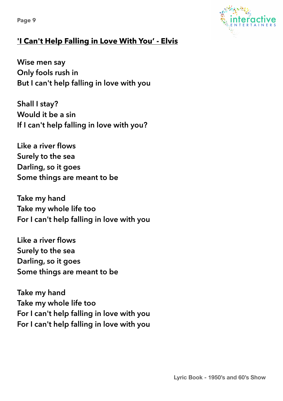

# **'I Can't Help Falling in Love With You' - Elvis**

**Wise men say Only fools rush in But I can't help falling in love with you** 

**Shall I stay? Would it be a sin If I can't help falling in love with you?** 

**Like a river flows Surely to the sea Darling, so it goes Some things are meant to be** 

**Take my hand Take my whole life too For I can't help falling in love with you** 

**Like a river flows Surely to the sea Darling, so it goes Some things are meant to be** 

**Take my hand Take my whole life too For I can't help falling in love with you For I can't help falling in love with you**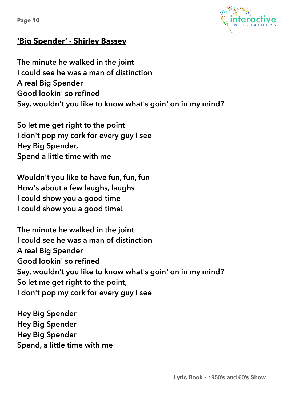

#### **'Big Spender' - Shirley Bassey**

**The minute he walked in the joint I could see he was a man of distinction A real Big Spender Good lookin' so refined Say, wouldn't you like to know what's goin' on in my mind?** 

**So let me get right to the point I don't pop my cork for every guy I see Hey Big Spender, Spend a little time with me** 

**Wouldn't you like to have fun, fun, fun How's about a few laughs, laughs I could show you a good time I could show you a good time!** 

**The minute he walked in the joint I could see he was a man of distinction A real Big Spender Good lookin' so refined Say, wouldn't you like to know what's goin' on in my mind? So let me get right to the point, I don't pop my cork for every guy I see** 

**Hey Big Spender Hey Big Spender Hey Big Spender Spend, a little time with me**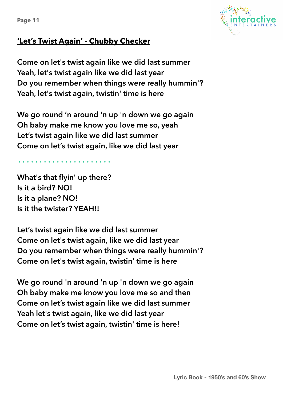

## **'Let's Twist Again' - Chubby Checker**

**Come on let's twist again like we did last summer Yeah, let's twist again like we did last year Do you remember when things were really hummin'? Yeah, let's twist again, twistin' time is here** 

**We go round 'n around 'n up 'n down we go again Oh baby make me know you love me so, yeah Let's twist again like we did last summer Come on let's twist again, like we did last year**

**What's that flyin' up there? Is it a bird? NO! Is it a plane? NO! Is it the twister? YEAH!!** 

**Let's twist again like we did last summer Come on let's twist again, like we did last year Do you remember when things were really hummin'? Come on let's twist again, twistin' time is here** 

**We go round 'n around 'n up 'n down we go again Oh baby make me know you love me so and then Come on let's twist again like we did last summer Yeah let's twist again, like we did last year Come on let's twist again, twistin' time is here!**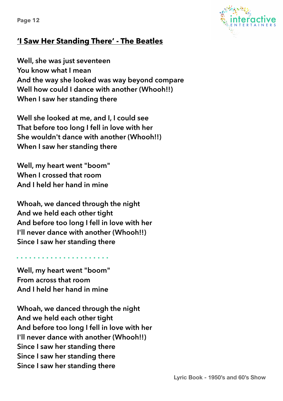

## **'I Saw Her Standing There' - The Beatles**

**Well, she was just seventeen You know what I mean And the way she looked was way beyond compare Well how could I dance with another (Whooh!!) When I saw her standing there** 

**Well she looked at me, and I, I could see That before too long I fell in love with her She wouldn't dance with another (Whooh!!) When I saw her standing there** 

**Well, my heart went "boom" When I crossed that room And I held her hand in mine** 

**Whoah, we danced through the night And we held each other tight And before too long I fell in love with her I'll never dance with another (Whooh!!) Since I saw her standing there**

**Well, my heart went "boom" From across that room And I held her hand in mine** 

**Whoah, we danced through the night And we held each other tight And before too long I fell in love with her I'll never dance with another (Whooh!!) Since I saw her standing there Since I saw her standing there Since I saw her standing there**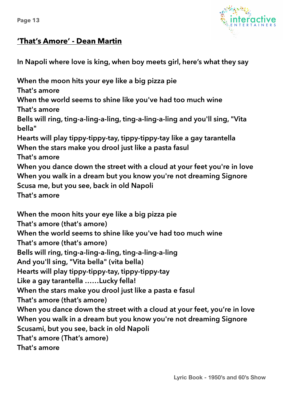

### **'That's Amore' - Dean Martin**

**In Napoli where love is king, when boy meets girl, here's what they say** 

**When the moon hits your eye like a big pizza pie That's amore When the world seems to shine like you've had too much wine That's amore Bells will ring, ting-a-ling-a-ling, ting-a-ling-a-ling and you'll sing, "Vita bella" Hearts will play tippy-tippy-tay, tippy-tippy-tay like a gay tarantella When the stars make you drool just like a pasta fasul That's amore When you dance down the street with a cloud at your feet you're in love When you walk in a dream but you know you're not dreaming Signore Scusa me, but you see, back in old Napoli That's amore** 

**When the moon hits your eye like a big pizza pie That's amore (that's amore) When the world seems to shine like you've had too much wine That's amore (that's amore) Bells will ring, ting-a-ling-a-ling, ting-a-ling-a-ling And you'll sing, "Vita bella" (vita bella) Hearts will play tippy-tippy-tay, tippy-tippy-tay Like a gay tarantella ……Lucky fella! When the stars make you drool just like a pasta e fasul That's amore (that's amore) When you dance down the street with a cloud at your feet, you're in love When you walk in a dream but you know you're not dreaming Signore Scusami, but you see, back in old Napoli That's amore (That's amore) That's amore**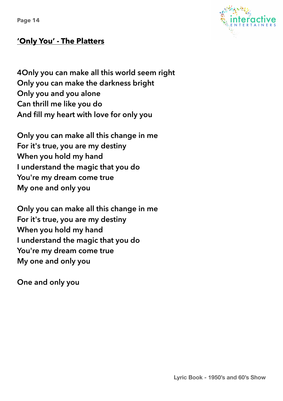

#### **'Only You' - The Platters**

**4Only you can make all this world seem right Only you can make the darkness bright Only you and you alone Can thrill me like you do And fill my heart with love for only you** 

**Only you can make all this change in me For it's true, you are my destiny When you hold my hand I understand the magic that you do You're my dream come true My one and only you** 

**Only you can make all this change in me For it's true, you are my destiny When you hold my hand I understand the magic that you do You're my dream come true My one and only you** 

**One and only you**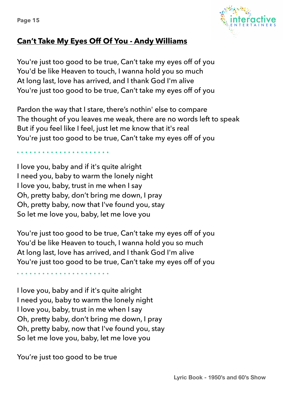

## **Can't Take My Eyes Off Of You - Andy Williams**

You're just too good to be true, Can't take my eyes off of you You'd be like Heaven to touch, I wanna hold you so much At long last, love has arrived, and I thank God I'm alive You're just too good to be true, Can't take my eyes off of you

Pardon the way that I stare, there's nothin' else to compare The thought of you leaves me weak, there are no words left to speak But if you feel like I feel, just let me know that it's real You're just too good to be true, Can't take my eyes off of you

I love you, baby and if it's quite alright I need you, baby to warm the lonely night I love you, baby, trust in me when I say Oh, pretty baby, don't bring me down, I pray Oh, pretty baby, now that I've found you, stay So let me love you, baby, let me love you

You're just too good to be true, Can't take my eyes off of you You'd be like Heaven to touch, I wanna hold you so much At long last, love has arrived, and I thank God I'm alive You're just too good to be true, Can't take my eyes off of you

I love you, baby and if it's quite alright I need you, baby to warm the lonely night I love you, baby, trust in me when I say Oh, pretty baby, don't bring me down, I pray Oh, pretty baby, now that I've found you, stay So let me love you, baby, let me love you

You're just too good to be true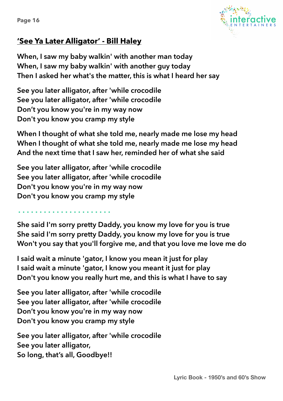

## **'See Ya Later Alligator' - Bill Haley**

**When, I saw my baby walkin' with another man today When, I saw my baby walkin' with another guy today Then I asked her what's the matter, this is what I heard her say** 

**See you later alligator, after 'while crocodile See you later alligator, after 'while crocodile Don't you know you're in my way now Don't you know you cramp my style** 

**When I thought of what she told me, nearly made me lose my head When I thought of what she told me, nearly made me lose my head And the next time that I saw her, reminded her of what she said** 

**See you later alligator, after 'while crocodile See you later alligator, after 'while crocodile Don't you know you're in my way now Don't you know you cramp my style**

**She said I'm sorry pretty Daddy, you know my love for you is true She said I'm sorry pretty Daddy, you know my love for you is true Won't you say that you'll forgive me, and that you love me love me do** 

**I said wait a minute 'gator, I know you mean it just for play I said wait a minute 'gator, I know you meant it just for play Don't you know you really hurt me, and this is what I have to say** 

**See you later alligator, after 'while crocodile See you later alligator, after 'while crocodile Don't you know you're in my way now Don't you know you cramp my style** 

**See you later alligator, after 'while crocodile See you later alligator, So long, that's all, Goodbye!!**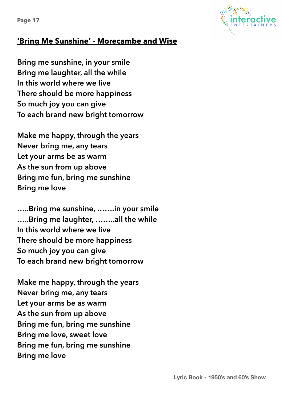

## **'Bring Me Sunshine' - Morecambe and Wise**

**Bring me sunshine, in your smile Bring me laughter, all the while In this world where we live There should be more happiness So much joy you can give To each brand new bright tomorrow** 

**Make me happy, through the years Never bring me, any tears Let your arms be as warm As the sun from up above Bring me fun, bring me sunshine Bring me love** 

**…..Bring me sunshine, …….in your smile …..Bring me laughter, ……..all the while In this world where we live There should be more happiness So much joy you can give To each brand new bright tomorrow** 

**Make me happy, through the years Never bring me, any tears Let your arms be as warm As the sun from up above Bring me fun, bring me sunshine Bring me love, sweet love Bring me fun, bring me sunshine Bring me love**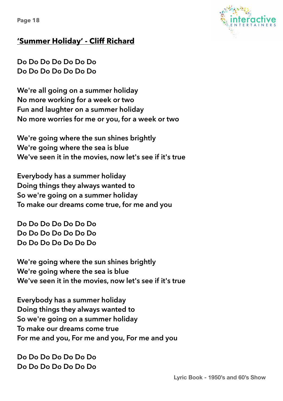

#### **'Summer Holiday' - Cliff Richard**

**Do Do Do Do Do Do Do Do Do Do Do Do Do Do** 

**We're all going on a summer holiday No more working for a week or two Fun and laughter on a summer holiday No more worries for me or you, for a week or two** 

**We're going where the sun shines brightly We're going where the sea is blue We've seen it in the movies, now let's see if it's true** 

**Everybody has a summer holiday Doing things they always wanted to So we're going on a summer holiday To make our dreams come true, for me and you** 

**Do Do Do Do Do Do Do Do Do Do Do Do Do Do Do Do Do Do Do Do Do** 

**We're going where the sun shines brightly We're going where the sea is blue We've seen it in the movies, now let's see if it's true** 

**Everybody has a summer holiday Doing things they always wanted to So we're going on a summer holiday To make our dreams come true For me and you, For me and you, For me and you** 

**Do Do Do Do Do Do Do Do Do Do Do Do Do Do**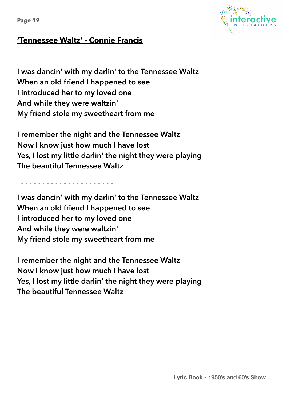

#### **'Tennessee Waltz' - Connie Francis**

**I was dancin' with my darlin' to the Tennessee Waltz When an old friend I happened to see I introduced her to my loved one And while they were waltzin' My friend stole my sweetheart from me** 

**I remember the night and the Tennessee Waltz Now I know just how much I have lost Yes, I lost my little darlin' the night they were playing The beautiful Tennessee Waltz**

**I was dancin' with my darlin' to the Tennessee Waltz When an old friend I happened to see I introduced her to my loved one And while they were waltzin' My friend stole my sweetheart from me** 

**I remember the night and the Tennessee Waltz Now I know just how much I have lost Yes, I lost my little darlin' the night they were playing The beautiful Tennessee Waltz**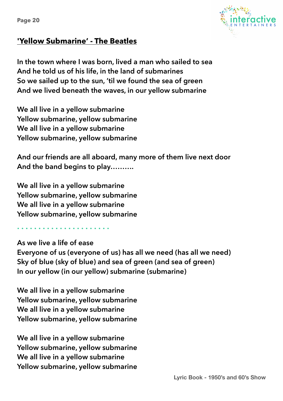

## **'Yellow Submarine' - The Beatles**

**In the town where I was born, lived a man who sailed to sea And he told us of his life, in the land of submarines So we sailed up to the sun, 'til we found the sea of green And we lived beneath the waves, in our yellow submarine** 

**We all live in a yellow submarine Yellow submarine, yellow submarine We all live in a yellow submarine Yellow submarine, yellow submarine** 

**And our friends are all aboard, many more of them live next door And the band begins to play……….** 

**We all live in a yellow submarine Yellow submarine, yellow submarine We all live in a yellow submarine Yellow submarine, yellow submarine**

**As we live a life of ease Everyone of us (everyone of us) has all we need (has all we need) Sky of blue (sky of blue) and sea of green (and sea of green) In our yellow (in our yellow) submarine (submarine)** 

**We all live in a yellow submarine Yellow submarine, yellow submarine We all live in a yellow submarine Yellow submarine, yellow submarine** 

**We all live in a yellow submarine Yellow submarine, yellow submarine We all live in a yellow submarine Yellow submarine, yellow submarine**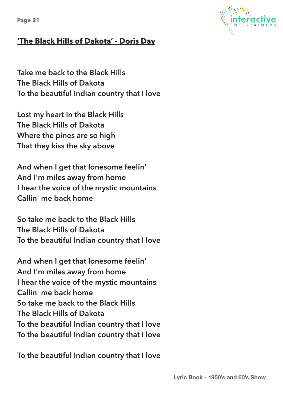

## **'The Black Hills of Dakota' - Doris Day**

**Take me back to the Black Hills The Black Hills of Dakota To the beautiful Indian country that I love** 

**Lost my heart in the Black Hills The Black Hills of Dakota Where the pines are so high That they kiss the sky above** 

**And when I get that lonesome feelin' And I'm miles away from home I hear the voice of the mystic mountains Callin' me back home** 

**So take me back to the Black Hills The Black Hills of Dakota To the beautiful Indian country that I love** 

**And when I get that lonesome feelin' And I'm miles away from home I hear the voice of the mystic mountains Callin' me back home So take me back to the Black Hills The Black Hills of Dakota To the beautiful Indian country that I love To the beautiful Indian country that I love** 

**To the beautiful Indian country that I love**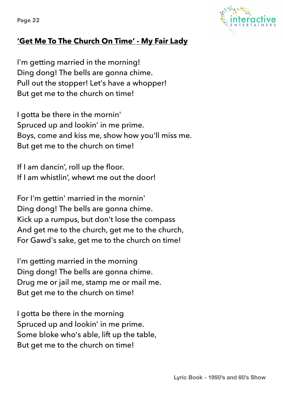

## **'Get Me To The Church On Time' - My Fair Lady**

I'm getting married in the morning! Ding dong! The bells are gonna chime. Pull out the stopper! Let's have a whopper! But get me to the church on time!

I gotta be there in the mornin' Spruced up and lookin' in me prime. Boys, come and kiss me, show how you'll miss me. But get me to the church on time!

If I am dancin', roll up the floor. If I am whistlin', whewt me out the door!

For I'm gettin' married in the mornin' Ding dong! The bells are gonna chime. Kick up a rumpus, but don't lose the compass And get me to the church, get me to the church, For Gawd's sake, get me to the church on time!

I'm getting married in the morning Ding dong! The bells are gonna chime. Drug me or jail me, stamp me or mail me. But get me to the church on time!

I gotta be there in the morning Spruced up and lookin' in me prime. Some bloke who's able, lift up the table, But get me to the church on time!